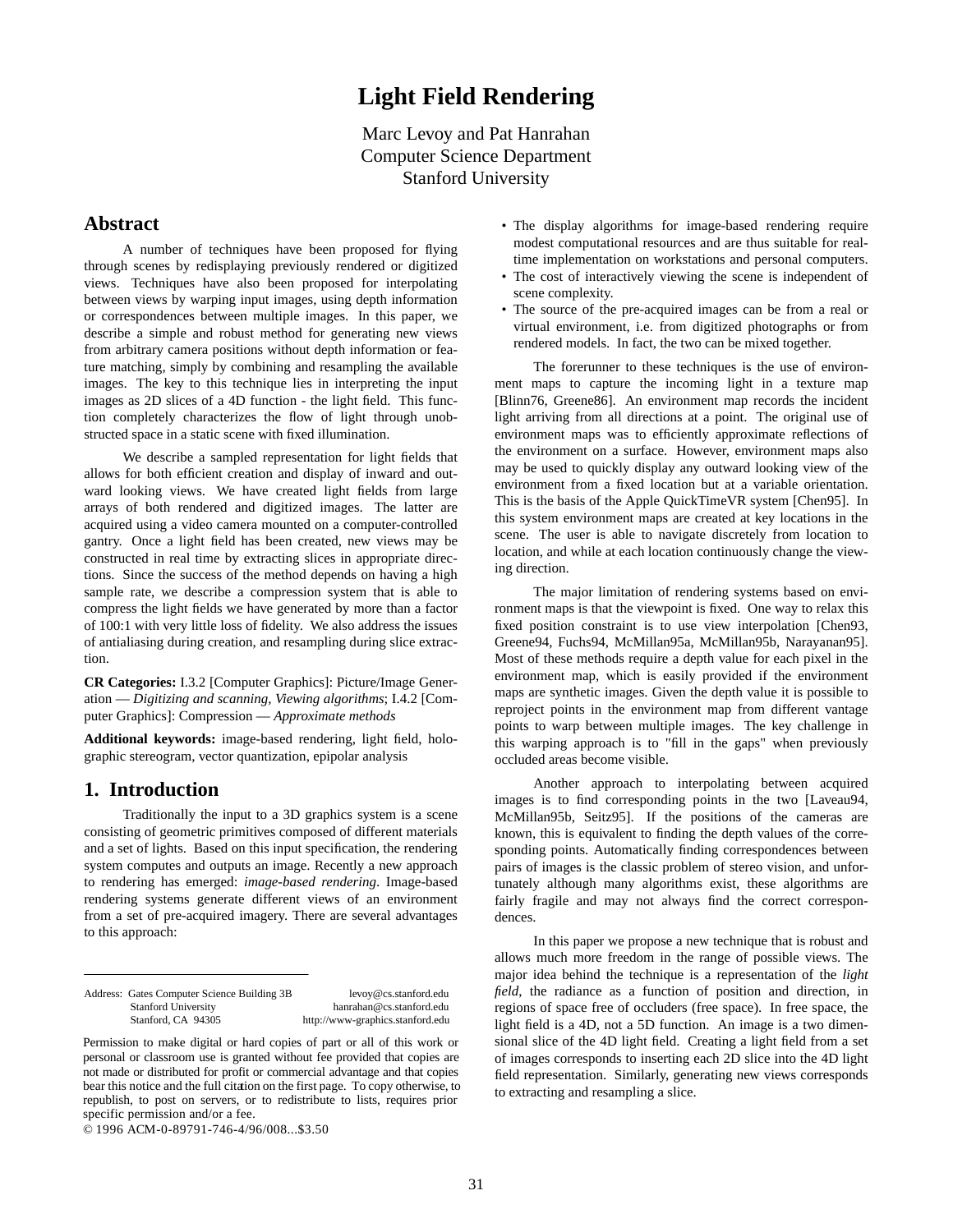# **Light Field Rendering**

Marc Levoy and Pat Hanrahan Computer Science Department Stanford University

### **Abstract**

A number of techniques have been proposed for flying through scenes by redisplaying previously rendered or digitized views. Techniques have also been proposed for interpolating between views by warping input images, using depth information or correspondences between multiple images. In this paper, we describe a simple and robust method for generating new views from arbitrary camera positions without depth information or feature matching, simply by combining and resampling the available images. The key to this technique lies in interpreting the input images as 2D slices of a 4D function - the light field. This function completely characterizes the flow of light through unobstructed space in a static scene with fixed illumination.

We describe a sampled representation for light fields that allows for both efficient creation and display of inward and outward looking views. We have created light fields from large arrays of both rendered and digitized images. The latter are acquired using a video camera mounted on a computer-controlled gantry. Once a light field has been created, new views may be constructed in real time by extracting slices in appropriate directions. Since the success of the method depends on having a high sample rate, we describe a compression system that is able to compress the light fields we have generated by more than a factor of 100:1 with very little loss of fidelity. We also address the issues of antialiasing during creation, and resampling during slice extraction.

**CR Categories:** I.3.2 [Computer Graphics]: Picture/Image Generation — *Digitizing and scanning*, *Viewing algorithms*; I.4.2 [Computer Graphics]: Compression — *Approximate methods*

**Additional keywords:** image-based rendering, light field, holographic stereogram, vector quantization, epipolar analysis

# **1. Introduction**

Traditionally the input to a 3D graphics system is a scene consisting of geometric primitives composed of different materials and a set of lights. Based on this input specification, the rendering system computes and outputs an image. Recently a new approach to rendering has emerged: *image-based rendering*. Image-based rendering systems generate different views of an environment from a set of pre-acquired imagery. There are several advantages to this approach:

Address: Gates Computer Science Building 3B levoy@cs.stanford.edu<br>Stanford University hanrahan@cs.stanford.edu hanrahan@cs.stanford.edu Stanford, CA 94305 http://www-graphics.stanford.edu

Permission to make digital or hard copies of part or all of this work or personal or classroom use is granted without fee provided that copies are not made or distributed for profit or commercial advantage and that copies bear this notice and the full citation on the first page. To copy otherwise, to republish, to post on servers, or to redistribute to lists, requires prior specific permission and/or a fee.

- The display algorithms for image-based rendering require modest computational resources and are thus suitable for realtime implementation on workstations and personal computers.
- The cost of interactively viewing the scene is independent of scene complexity.
- The source of the pre-acquired images can be from a real or virtual environment, i.e. from digitized photographs or from rendered models. In fact, the two can be mixed together.

The forerunner to these techniques is the use of environment maps to capture the incoming light in a texture map [Blinn76, Greene86]. An environment map records the incident light arriving from all directions at a point. The original use of environment maps was to efficiently approximate reflections of the environment on a surface. However, environment maps also may be used to quickly display any outward looking view of the environment from a fixed location but at a variable orientation. This is the basis of the Apple QuickTimeVR system [Chen95]. In this system environment maps are created at key locations in the scene. The user is able to navigate discretely from location to location, and while at each location continuously change the viewing direction.

The major limitation of rendering systems based on environment maps is that the viewpoint is fixed. One way to relax this fixed position constraint is to use view interpolation [Chen93, Greene94, Fuchs94, McMillan95a, McMillan95b, Narayanan95]. Most of these methods require a depth value for each pixel in the environment map, which is easily provided if the environment maps are synthetic images. Given the depth value it is possible to reproject points in the environment map from different vantage points to warp between multiple images. The key challenge in this warping approach is to "fill in the gaps" when previously occluded areas become visible.

Another approach to interpolating between acquired images is to find corresponding points in the two [Laveau94, McMillan95b, Seitz95]. If the positions of the cameras are known, this is equivalent to finding the depth values of the corresponding points. Automatically finding correspondences between pairs of images is the classic problem of stereo vision, and unfortunately although many algorithms exist, these algorithms are fairly fragile and may not always find the correct correspondences.

In this paper we propose a new technique that is robust and allows much more freedom in the range of possible views. The major idea behind the technique is a representation of the *light field*, the radiance as a function of position and direction, in regions of space free of occluders (free space). In free space, the light field is a 4D, not a 5D function. An image is a two dimensional slice of the 4D light field. Creating a light field from a set of images corresponds to inserting each 2D slice into the 4D light field representation. Similarly, generating new views corresponds to extracting and resampling a slice.

<sup>© 1996</sup> ACM-0-89791-746-4/96/008...\$3.50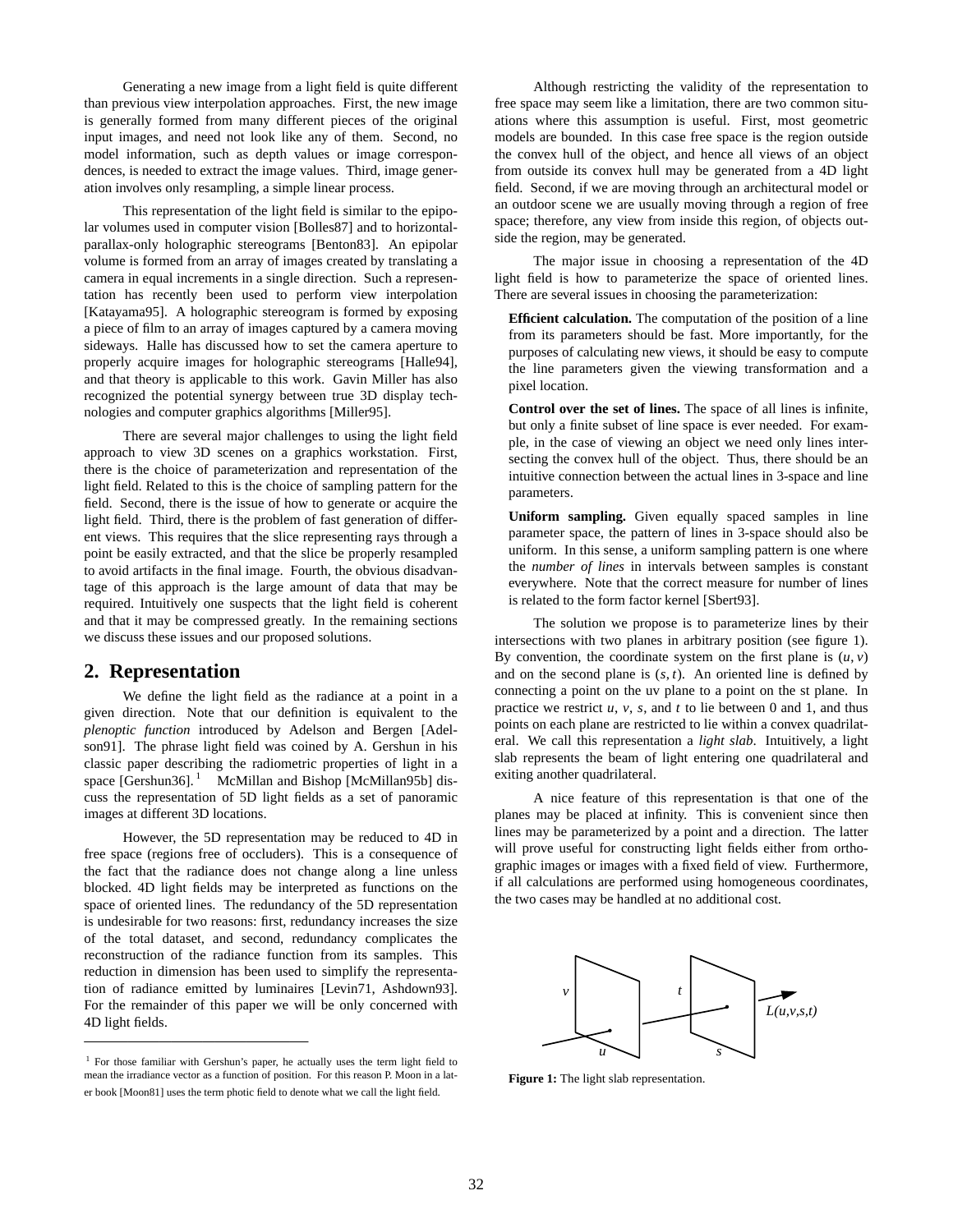Generating a new image from a light field is quite different than previous view interpolation approaches. First, the new image is generally formed from many different pieces of the original input images, and need not look like any of them. Second, no model information, such as depth values or image correspondences, is needed to extract the image values. Third, image generation involves only resampling, a simple linear process.

This representation of the light field is similar to the epipolar volumes used in computer vision [Bolles87] and to horizontalparallax-only holographic stereograms [Benton83]. An epipolar volume is formed from an array of images created by translating a camera in equal increments in a single direction. Such a representation has recently been used to perform view interpolation [Katayama95]. A holographic stereogram is formed by exposing a piece of film to an array of images captured by a camera moving sideways. Halle has discussed how to set the camera aperture to properly acquire images for holographic stereograms [Halle94], and that theory is applicable to this work. Gavin Miller has also recognized the potential synergy between true 3D display technologies and computer graphics algorithms [Miller95].

There are several major challenges to using the light field approach to view 3D scenes on a graphics workstation. First, there is the choice of parameterization and representation of the light field. Related to this is the choice of sampling pattern for the field. Second, there is the issue of how to generate or acquire the light field. Third, there is the problem of fast generation of different views. This requires that the slice representing rays through a point be easily extracted, and that the slice be properly resampled to avoid artifacts in the final image. Fourth, the obvious disadvantage of this approach is the large amount of data that may be required. Intuitively one suspects that the light field is coherent and that it may be compressed greatly. In the remaining sections we discuss these issues and our proposed solutions.

# **2. Representation**

We define the light field as the radiance at a point in a given direction. Note that our definition is equivalent to the *plenoptic function* introduced by Adelson and Bergen [Adelson91]. The phrase light field was coined by A. Gershun in his classic paper describing the radiometric properties of light in a space [Gershun36].<sup>1</sup> McMillan and Bishop [McMillan95b] discuss the representation of 5D light fields as a set of panoramic images at different 3D locations.

However, the 5D representation may be reduced to 4D in free space (regions free of occluders). This is a consequence of the fact that the radiance does not change along a line unless blocked. 4D light fields may be interpreted as functions on the space of oriented lines. The redundancy of the 5D representation is undesirable for two reasons: first, redundancy increases the size of the total dataset, and second, redundancy complicates the reconstruction of the radiance function from its samples. This reduction in dimension has been used to simplify the representation of radiance emitted by luminaires [Levin71, Ashdown93]. For the remainder of this paper we will be only concerned with 4D light fields.

Although restricting the validity of the representation to free space may seem like a limitation, there are two common situations where this assumption is useful. First, most geometric models are bounded. In this case free space is the region outside the convex hull of the object, and hence all views of an object from outside its convex hull may be generated from a 4D light field. Second, if we are moving through an architectural model or an outdoor scene we are usually moving through a region of free space; therefore, any view from inside this region, of objects outside the region, may be generated.

The major issue in choosing a representation of the 4D light field is how to parameterize the space of oriented lines. There are several issues in choosing the parameterization:

**Efficient calculation.** The computation of the position of a line from its parameters should be fast. More importantly, for the purposes of calculating new views, it should be easy to compute the line parameters given the viewing transformation and a pixel location.

**Control over the set of lines.** The space of all lines is infinite, but only a finite subset of line space is ever needed. For example, in the case of viewing an object we need only lines intersecting the convex hull of the object. Thus, there should be an intuitive connection between the actual lines in 3-space and line parameters.

**Uniform sampling.** Given equally spaced samples in line parameter space, the pattern of lines in 3-space should also be uniform. In this sense, a uniform sampling pattern is one where the *number of lines* in intervals between samples is constant everywhere. Note that the correct measure for number of lines is related to the form factor kernel [Sbert93].

The solution we propose is to parameterize lines by their intersections with two planes in arbitrary position (see figure 1). By convention, the coordinate system on the first plane is  $(u, v)$ and on the second plane is  $(s, t)$ . An oriented line is defined by connecting a point on the uv plane to a point on the st plane. In practice we restrict  $u$ ,  $v$ ,  $s$ , and  $t$  to lie between 0 and 1, and thus points on each plane are restricted to lie within a convex quadrilateral. We call this representation a *light slab*. Intuitively, a light slab represents the beam of light entering one quadrilateral and exiting another quadrilateral.

A nice feature of this representation is that one of the planes may be placed at infinity. This is convenient since then lines may be parameterized by a point and a direction. The latter will prove useful for constructing light fields either from orthographic images or images with a fixed field of view. Furthermore, if all calculations are performed using homogeneous coordinates, the two cases may be handled at no additional cost.



Figure 1: The light slab representation.

<sup>&</sup>lt;sup>1</sup> For those familiar with Gershun's paper, he actually uses the term light field to mean the irradiance vector as a function of position. For this reason P. Moon in a later book [Moon81] uses the term photic field to denote what we call the light field.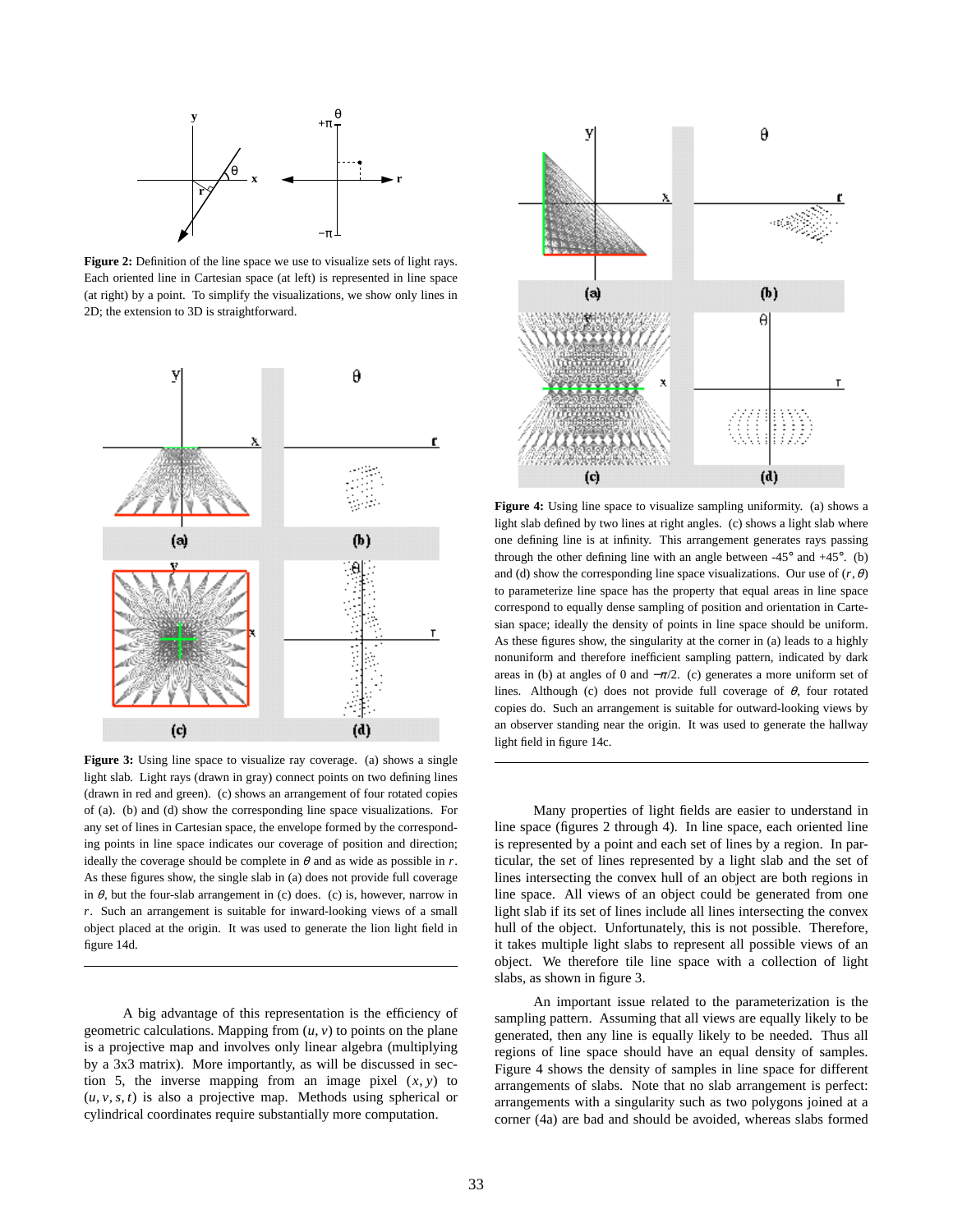

**Figure 2:** Definition of the line space we use to visualize sets of light rays. Each oriented line in Cartesian space (at left) is represented in line space (at right) by a point. To simplify the visualizations, we show only lines in 2D; the extension to 3D is straightforward.



**Figure 3:** Using line space to visualize ray coverage. (a) shows a single light slab. Light rays (drawn in gray) connect points on two defining lines (drawn in red and green). (c) shows an arrangement of four rotated copies of (a). (b) and (d) show the corresponding line space visualizations. For any set of lines in Cartesian space, the envelope formed by the corresponding points in line space indicates our coverage of position and direction; ideally the coverage should be complete in  $\theta$  and as wide as possible in  $r$ . As these figures show, the single slab in (a) does not provide full coverage in  $\theta$ , but the four-slab arrangement in (c) does. (c) is, however, narrow in *r*. Such an arrangement is suitable for inward-looking views of a small object placed at the origin. It was used to generate the lion light field in figure 14d.

A big advantage of this representation is the efficiency of geometric calculations. Mapping from  $(u, v)$  to points on the plane is a projective map and involves only linear algebra (multiplying by a 3x3 matrix). More importantly, as will be discussed in section 5, the inverse mapping from an image pixel  $(x, y)$  to  $(u, v, s, t)$  is also a projective map. Methods using spherical or cylindrical coordinates require substantially more computation.



**Figure 4:** Using line space to visualize sampling uniformity. (a) shows a light slab defined by two lines at right angles. (c) shows a light slab where one defining line is at infinity. This arrangement generates rays passing through the other defining line with an angle between -45° and +45°. (b) and (d) show the corresponding line space visualizations. Our use of  $(r, \theta)$ to parameterize line space has the property that equal areas in line space correspond to equally dense sampling of position and orientation in Cartesian space; ideally the density of points in line space should be uniform. As these figures show, the singularity at the corner in (a) leads to a highly nonuniform and therefore inefficient sampling pattern, indicated by dark areas in (b) at angles of 0 and  $-\pi/2$ . (c) generates a more uniform set of lines. Although (c) does not provide full coverage of  $\theta$ , four rotated copies do. Such an arrangement is suitable for outward-looking views by an observer standing near the origin. It was used to generate the hallway light field in figure 14c.

Many properties of light fields are easier to understand in line space (figures 2 through 4). In line space, each oriented line is represented by a point and each set of lines by a region. In particular, the set of lines represented by a light slab and the set of lines intersecting the convex hull of an object are both regions in line space. All views of an object could be generated from one light slab if its set of lines include all lines intersecting the convex hull of the object. Unfortunately, this is not possible. Therefore, it takes multiple light slabs to represent all possible views of an object. We therefore tile line space with a collection of light slabs, as shown in figure 3.

An important issue related to the parameterization is the sampling pattern. Assuming that all views are equally likely to be generated, then any line is equally likely to be needed. Thus all regions of line space should have an equal density of samples. Figure 4 shows the density of samples in line space for different arrangements of slabs. Note that no slab arrangement is perfect: arrangements with a singularity such as two polygons joined at a corner (4a) are bad and should be avoided, whereas slabs formed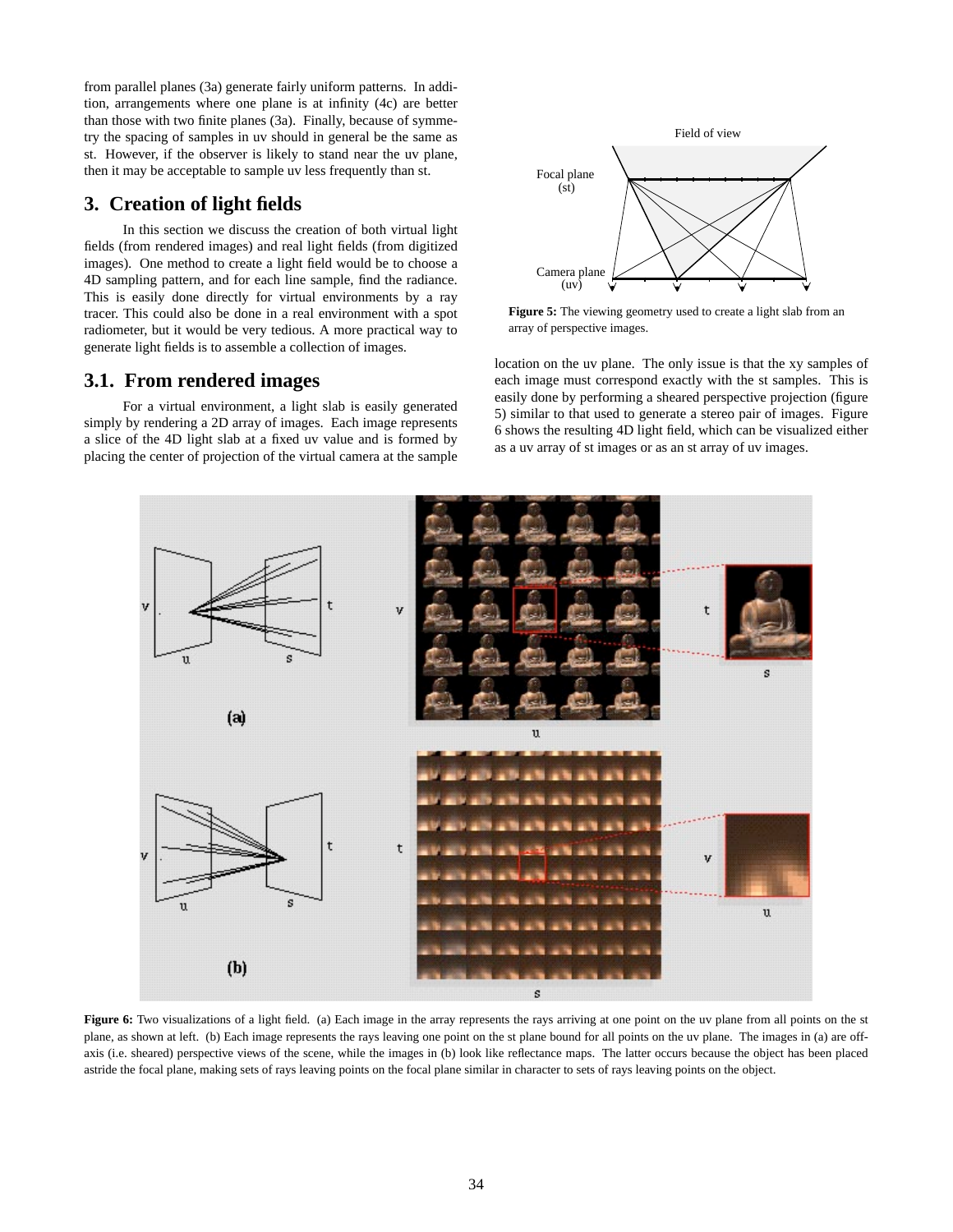from parallel planes (3a) generate fairly uniform patterns. In addition, arrangements where one plane is at infinity (4c) are better than those with two finite planes (3a). Finally, because of symmetry the spacing of samples in uv should in general be the same as st. However, if the observer is likely to stand near the uv plane, then it may be acceptable to sample uv less frequently than st.

#### **3. Creation of light fields**

In this section we discuss the creation of both virtual light fields (from rendered images) and real light fields (from digitized images). One method to create a light field would be to choose a 4D sampling pattern, and for each line sample, find the radiance. This is easily done directly for virtual environments by a ray tracer. This could also be done in a real environment with a spot radiometer, but it would be very tedious. A more practical way to generate light fields is to assemble a collection of images.

#### **3.1. From rendered images**

For a virtual environment, a light slab is easily generated simply by rendering a 2D array of images. Each image represents a slice of the 4D light slab at a fixed uv value and is formed by placing the center of projection of the virtual camera at the sample



**Figure 5:** The viewing geometry used to create a light slab from an array of perspective images.

location on the uv plane. The only issue is that the xy samples of each image must correspond exactly with the st samples. This is easily done by performing a sheared perspective projection (figure 5) similar to that used to generate a stereo pair of images. Figure 6 shows the resulting 4D light field, which can be visualized either as a uv array of st images or as an st array of uv images.



Figure 6: Two visualizations of a light field. (a) Each image in the array represents the rays arriving at one point on the uv plane from all points on the st plane, as shown at left. (b) Each image represents the rays leaving one point on the st plane bound for all points on the uv plane. The images in (a) are offaxis (i.e. sheared) perspective views of the scene, while the images in (b) look like reflectance maps. The latter occurs because the object has been placed astride the focal plane, making sets of rays leaving points on the focal plane similar in character to sets of rays leaving points on the object.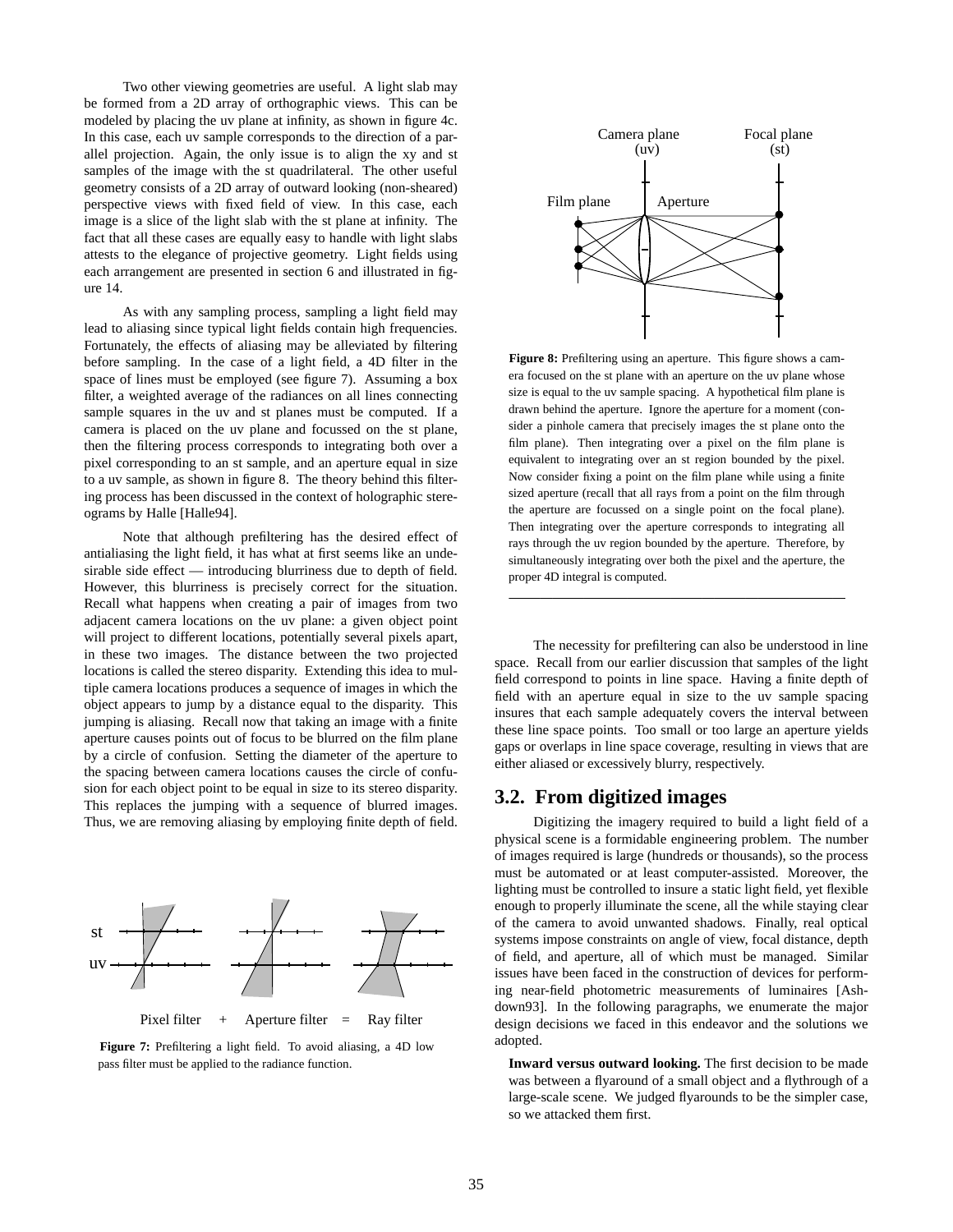Two other viewing geometries are useful. A light slab may be formed from a 2D array of orthographic views. This can be modeled by placing the uv plane at infinity, as shown in figure 4c. In this case, each uv sample corresponds to the direction of a parallel projection. Again, the only issue is to align the xy and st samples of the image with the st quadrilateral. The other useful geometry consists of a 2D array of outward looking (non-sheared) perspective views with fixed field of view. In this case, each image is a slice of the light slab with the st plane at infinity. The fact that all these cases are equally easy to handle with light slabs attests to the elegance of projective geometry. Light fields using each arrangement are presented in section 6 and illustrated in figure 14.

As with any sampling process, sampling a light field may lead to aliasing since typical light fields contain high frequencies. Fortunately, the effects of aliasing may be alleviated by filtering before sampling. In the case of a light field, a 4D filter in the space of lines must be employed (see figure 7). Assuming a box filter, a weighted average of the radiances on all lines connecting sample squares in the uv and st planes must be computed. If a camera is placed on the uv plane and focussed on the st plane, then the filtering process corresponds to integrating both over a pixel corresponding to an st sample, and an aperture equal in size to a uv sample, as shown in figure 8. The theory behind this filtering process has been discussed in the context of holographic stereograms by Halle [Halle94].

Note that although prefiltering has the desired effect of antialiasing the light field, it has what at first seems like an undesirable side effect — introducing blurriness due to depth of field. However, this blurriness is precisely correct for the situation. Recall what happens when creating a pair of images from two adjacent camera locations on the uv plane: a given object point will project to different locations, potentially several pixels apart, in these two images. The distance between the two projected locations is called the stereo disparity. Extending this idea to multiple camera locations produces a sequence of images in which the object appears to jump by a distance equal to the disparity. This jumping is aliasing. Recall now that taking an image with a finite aperture causes points out of focus to be blurred on the film plane by a circle of confusion. Setting the diameter of the aperture to the spacing between camera locations causes the circle of confusion for each object point to be equal in size to its stereo disparity. This replaces the jumping with a sequence of blurred images. Thus, we are removing aliasing by employing finite depth of field.



**Figure 7:** Prefiltering a light field. To avoid aliasing, a 4D low pass filter must be applied to the radiance function.



**Figure 8:** Prefiltering using an aperture. This figure shows a camera focused on the st plane with an aperture on the uv plane whose size is equal to the uv sample spacing. A hypothetical film plane is drawn behind the aperture. Ignore the aperture for a moment (consider a pinhole camera that precisely images the st plane onto the film plane). Then integrating over a pixel on the film plane is equivalent to integrating over an st region bounded by the pixel. Now consider fixing a point on the film plane while using a finite sized aperture (recall that all rays from a point on the film through the aperture are focussed on a single point on the focal plane). Then integrating over the aperture corresponds to integrating all rays through the uv region bounded by the aperture. Therefore, by simultaneously integrating over both the pixel and the aperture, the proper 4D integral is computed.

The necessity for prefiltering can also be understood in line space. Recall from our earlier discussion that samples of the light field correspond to points in line space. Having a finite depth of field with an aperture equal in size to the uv sample spacing insures that each sample adequately covers the interval between these line space points. Too small or too large an aperture yields gaps or overlaps in line space coverage, resulting in views that are either aliased or excessively blurry, respectively.

#### **3.2. From digitized images**

Digitizing the imagery required to build a light field of a physical scene is a formidable engineering problem. The number of images required is large (hundreds or thousands), so the process must be automated or at least computer-assisted. Moreover, the lighting must be controlled to insure a static light field, yet flexible enough to properly illuminate the scene, all the while staying clear of the camera to avoid unwanted shadows. Finally, real optical systems impose constraints on angle of view, focal distance, depth of field, and aperture, all of which must be managed. Similar issues have been faced in the construction of devices for performing near-field photometric measurements of luminaires [Ashdown93]. In the following paragraphs, we enumerate the major design decisions we faced in this endeavor and the solutions we adopted.

**Inward versus outward looking.** The first decision to be made was between a flyaround of a small object and a flythrough of a large-scale scene. We judged flyarounds to be the simpler case, so we attacked them first.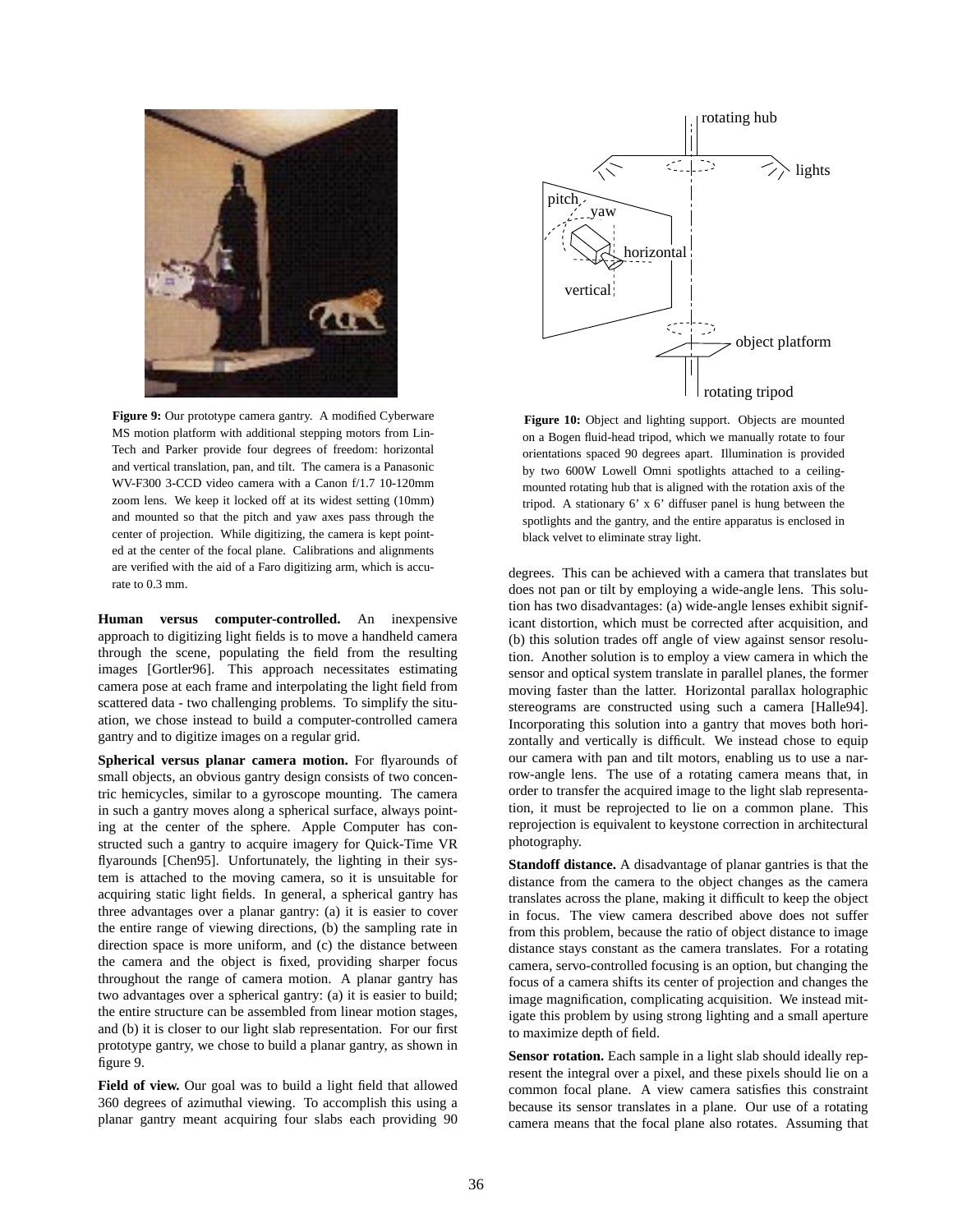

**Figure 9:** Our prototype camera gantry. A modified Cyberware MS motion platform with additional stepping motors from Lin-Tech and Parker provide four degrees of freedom: horizontal and vertical translation, pan, and tilt. The camera is a Panasonic WV-F300 3-CCD video camera with a Canon f/1.7 10-120mm zoom lens. We keep it locked off at its widest setting (10mm) and mounted so that the pitch and yaw axes pass through the center of projection. While digitizing, the camera is kept pointed at the center of the focal plane. Calibrations and alignments are verified with the aid of a Faro digitizing arm, which is accurate to 0.3 mm.

**Human versus computer-controlled.** An inexpensive approach to digitizing light fields is to move a handheld camera through the scene, populating the field from the resulting images [Gortler96]. This approach necessitates estimating camera pose at each frame and interpolating the light field from scattered data - two challenging problems. To simplify the situation, we chose instead to build a computer-controlled camera gantry and to digitize images on a regular grid.

**Spherical versus planar camera motion.** For flyarounds of small objects, an obvious gantry design consists of two concentric hemicycles, similar to a gyroscope mounting. The camera in such a gantry moves along a spherical surface, always pointing at the center of the sphere. Apple Computer has constructed such a gantry to acquire imagery for Quick-Time VR flyarounds [Chen95]. Unfortunately, the lighting in their system is attached to the moving camera, so it is unsuitable for acquiring static light fields. In general, a spherical gantry has three advantages over a planar gantry: (a) it is easier to cover the entire range of viewing directions, (b) the sampling rate in direction space is more uniform, and (c) the distance between the camera and the object is fixed, providing sharper focus throughout the range of camera motion. A planar gantry has two advantages over a spherical gantry: (a) it is easier to build; the entire structure can be assembled from linear motion stages, and (b) it is closer to our light slab representation. For our first prototype gantry, we chose to build a planar gantry, as shown in figure 9.

**Field of view.** Our goal was to build a light field that allowed 360 degrees of azimuthal viewing. To accomplish this using a planar gantry meant acquiring four slabs each providing 90



**Figure 10:** Object and lighting support. Objects are mounted on a Bogen fluid-head tripod, which we manually rotate to four orientations spaced 90 degrees apart. Illumination is provided by two 600W Lowell Omni spotlights attached to a ceilingmounted rotating hub that is aligned with the rotation axis of the tripod. A stationary 6' x 6' diffuser panel is hung between the spotlights and the gantry, and the entire apparatus is enclosed in black velvet to eliminate stray light.

degrees. This can be achieved with a camera that translates but does not pan or tilt by employing a wide-angle lens. This solution has two disadvantages: (a) wide-angle lenses exhibit significant distortion, which must be corrected after acquisition, and (b) this solution trades off angle of view against sensor resolution. Another solution is to employ a view camera in which the sensor and optical system translate in parallel planes, the former moving faster than the latter. Horizontal parallax holographic stereograms are constructed using such a camera [Halle94]. Incorporating this solution into a gantry that moves both horizontally and vertically is difficult. We instead chose to equip our camera with pan and tilt motors, enabling us to use a narrow-angle lens. The use of a rotating camera means that, in order to transfer the acquired image to the light slab representation, it must be reprojected to lie on a common plane. This reprojection is equivalent to keystone correction in architectural photography.

**Standoff distance.** A disadvantage of planar gantries is that the distance from the camera to the object changes as the camera translates across the plane, making it difficult to keep the object in focus. The view camera described above does not suffer from this problem, because the ratio of object distance to image distance stays constant as the camera translates. For a rotating camera, servo-controlled focusing is an option, but changing the focus of a camera shifts its center of projection and changes the image magnification, complicating acquisition. We instead mitigate this problem by using strong lighting and a small aperture to maximize depth of field.

**Sensor rotation.** Each sample in a light slab should ideally represent the integral over a pixel, and these pixels should lie on a common focal plane. A view camera satisfies this constraint because its sensor translates in a plane. Our use of a rotating camera means that the focal plane also rotates. Assuming that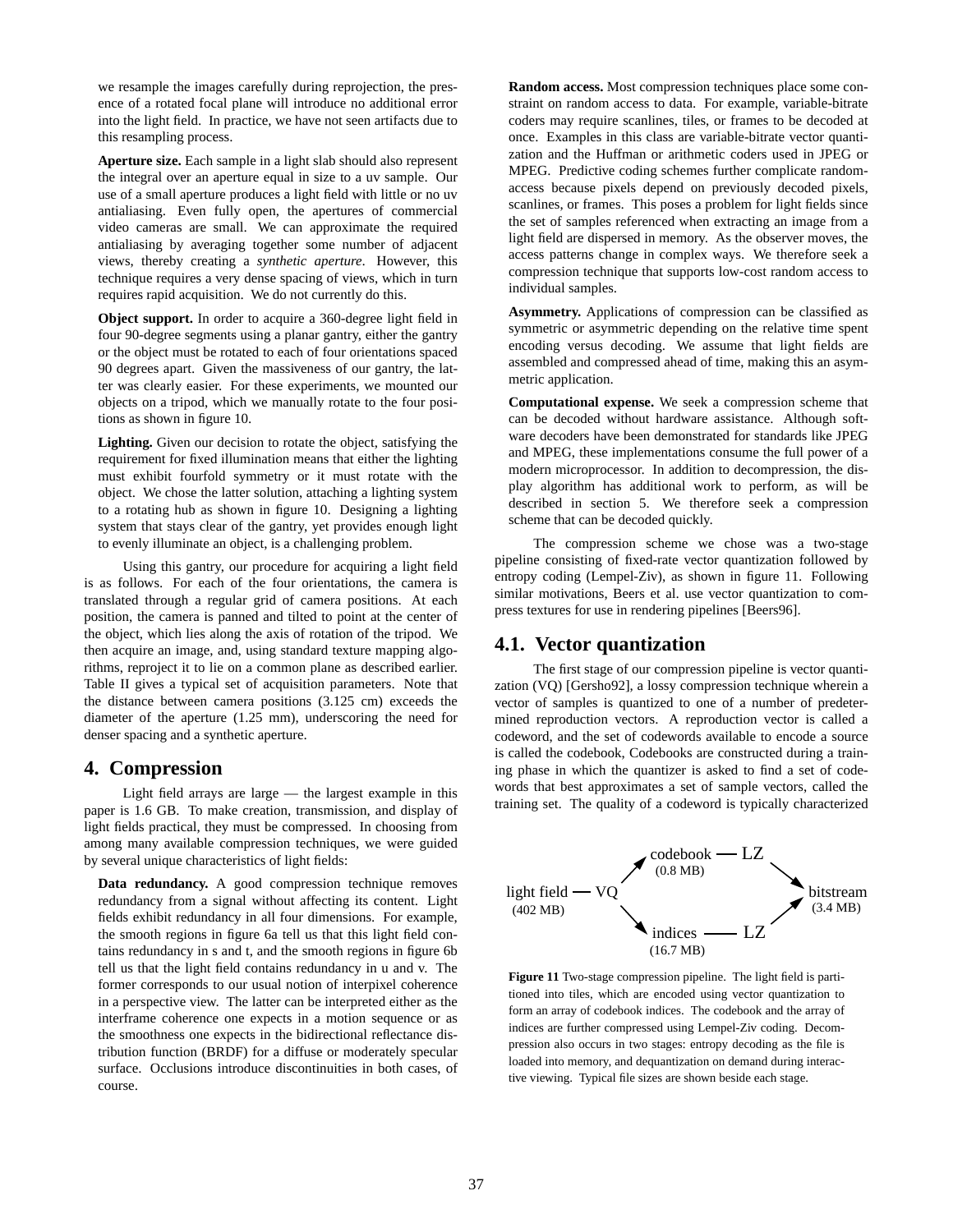we resample the images carefully during reprojection, the presence of a rotated focal plane will introduce no additional error into the light field. In practice, we have not seen artifacts due to this resampling process.

**Aperture size.** Each sample in a light slab should also represent the integral over an aperture equal in size to a uv sample. Our use of a small aperture produces a light field with little or no uv antialiasing. Even fully open, the apertures of commercial video cameras are small. We can approximate the required antialiasing by averaging together some number of adjacent views, thereby creating a *synthetic aperture*. However, this technique requires a very dense spacing of views, which in turn requires rapid acquisition. We do not currently do this.

**Object support.** In order to acquire a 360-degree light field in four 90-degree segments using a planar gantry, either the gantry or the object must be rotated to each of four orientations spaced 90 degrees apart. Given the massiveness of our gantry, the latter was clearly easier. For these experiments, we mounted our objects on a tripod, which we manually rotate to the four positions as shown in figure 10.

**Lighting.** Given our decision to rotate the object, satisfying the requirement for fixed illumination means that either the lighting must exhibit fourfold symmetry or it must rotate with the object. We chose the latter solution, attaching a lighting system to a rotating hub as shown in figure 10. Designing a lighting system that stays clear of the gantry, yet provides enough light to evenly illuminate an object, is a challenging problem.

Using this gantry, our procedure for acquiring a light field is as follows. For each of the four orientations, the camera is translated through a regular grid of camera positions. At each position, the camera is panned and tilted to point at the center of the object, which lies along the axis of rotation of the tripod. We then acquire an image, and, using standard texture mapping algorithms, reproject it to lie on a common plane as described earlier. Table II gives a typical set of acquisition parameters. Note that the distance between camera positions (3.125 cm) exceeds the diameter of the aperture (1.25 mm), underscoring the need for denser spacing and a synthetic aperture.

# **4. Compression**

Light field arrays are large — the largest example in this paper is 1.6 GB. To make creation, transmission, and display of light fields practical, they must be compressed. In choosing from among many available compression techniques, we were guided by several unique characteristics of light fields:

Data redundancy. A good compression technique removes redundancy from a signal without affecting its content. Light fields exhibit redundancy in all four dimensions. For example, the smooth regions in figure 6a tell us that this light field contains redundancy in s and t, and the smooth regions in figure 6b tell us that the light field contains redundancy in u and v. The former corresponds to our usual notion of interpixel coherence in a perspective view. The latter can be interpreted either as the interframe coherence one expects in a motion sequence or as the smoothness one expects in the bidirectional reflectance distribution function (BRDF) for a diffuse or moderately specular surface. Occlusions introduce discontinuities in both cases, of course.

**Random access.** Most compression techniques place some constraint on random access to data. For example, variable-bitrate coders may require scanlines, tiles, or frames to be decoded at once. Examples in this class are variable-bitrate vector quantization and the Huffman or arithmetic coders used in JPEG or MPEG. Predictive coding schemes further complicate randomaccess because pixels depend on previously decoded pixels, scanlines, or frames. This poses a problem for light fields since the set of samples referenced when extracting an image from a light field are dispersed in memory. As the observer moves, the access patterns change in complex ways. We therefore seek a compression technique that supports low-cost random access to individual samples.

**Asymmetry.** Applications of compression can be classified as symmetric or asymmetric depending on the relative time spent encoding versus decoding. We assume that light fields are assembled and compressed ahead of time, making this an asymmetric application.

**Computational expense.** We seek a compression scheme that can be decoded without hardware assistance. Although software decoders have been demonstrated for standards like JPEG and MPEG, these implementations consume the full power of a modern microprocessor. In addition to decompression, the display algorithm has additional work to perform, as will be described in section 5. We therefore seek a compression scheme that can be decoded quickly.

The compression scheme we chose was a two-stage pipeline consisting of fixed-rate vector quantization followed by entropy coding (Lempel-Ziv), as shown in figure 11. Following similar motivations, Beers et al. use vector quantization to compress textures for use in rendering pipelines [Beers96].

# **4.1. Vector quantization**

The first stage of our compression pipeline is vector quantization (VQ) [Gersho92], a lossy compression technique wherein a vector of samples is quantized to one of a number of predetermined reproduction vectors. A reproduction vector is called a codeword, and the set of codewords available to encode a source is called the codebook, Codebooks are constructed during a training phase in which the quantizer is asked to find a set of codewords that best approximates a set of sample vectors, called the training set. The quality of a codeword is typically characterized



Figure 11 Two-stage compression pipeline. The light field is partitioned into tiles, which are encoded using vector quantization to form an array of codebook indices. The codebook and the array of indices are further compressed using Lempel-Ziv coding. Decompression also occurs in two stages: entropy decoding as the file is loaded into memory, and dequantization on demand during interactive viewing. Typical file sizes are shown beside each stage.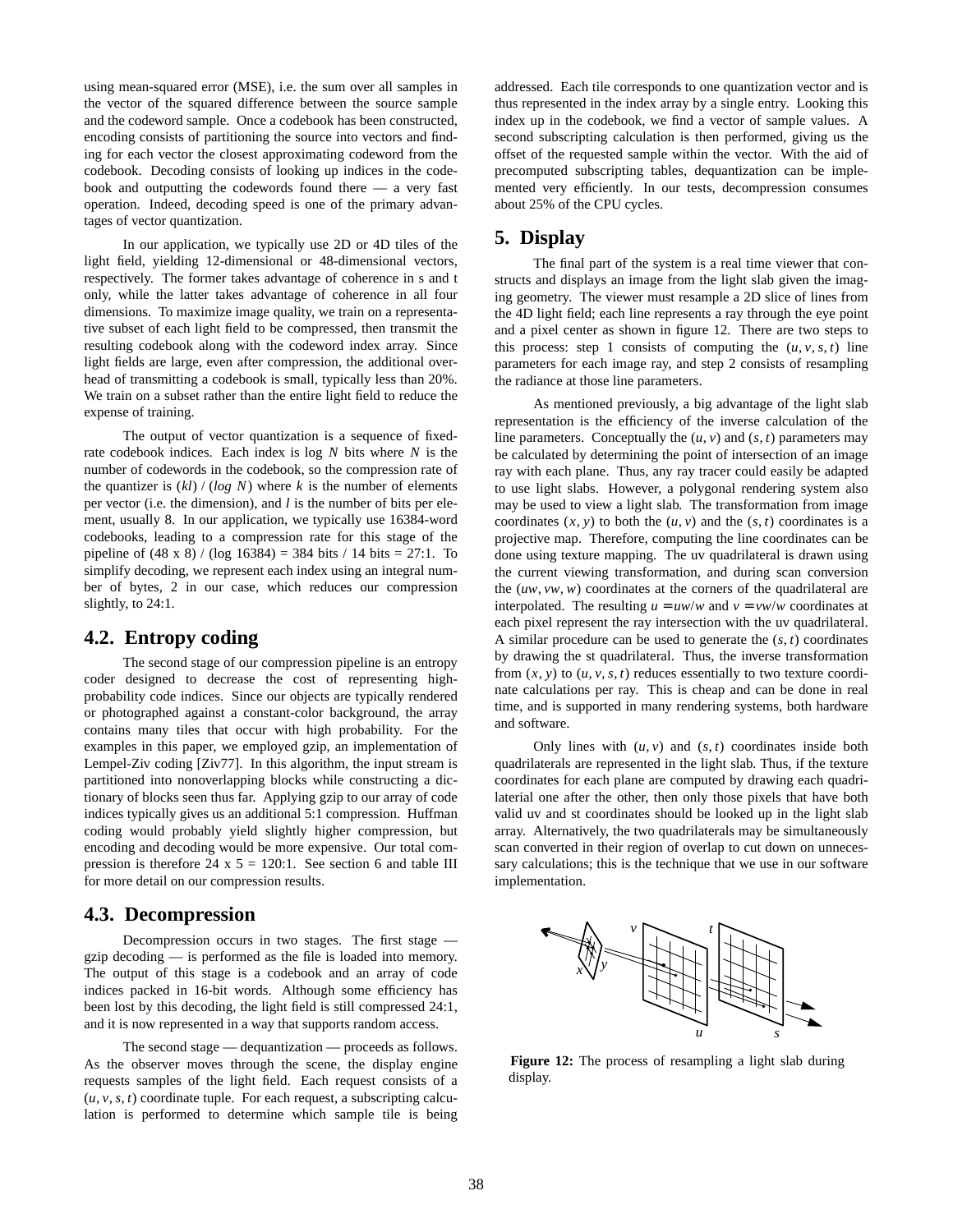using mean-squared error (MSE), i.e. the sum over all samples in the vector of the squared difference between the source sample and the codeword sample. Once a codebook has been constructed, encoding consists of partitioning the source into vectors and finding for each vector the closest approximating codeword from the codebook. Decoding consists of looking up indices in the codebook and outputting the codewords found there — a very fast operation. Indeed, decoding speed is one of the primary advantages of vector quantization.

In our application, we typically use 2D or 4D tiles of the light field, yielding 12-dimensional or 48-dimensional vectors, respectively. The former takes advantage of coherence in s and t only, while the latter takes advantage of coherence in all four dimensions. To maximize image quality, we train on a representative subset of each light field to be compressed, then transmit the resulting codebook along with the codeword index array. Since light fields are large, even after compression, the additional overhead of transmitting a codebook is small, typically less than 20%. We train on a subset rather than the entire light field to reduce the expense of training.

The output of vector quantization is a sequence of fixedrate codebook indices. Each index is log *N* bits where *N* is the number of codewords in the codebook, so the compression rate of the quantizer is  $(kl) / (log N)$  where *k* is the number of elements per vector (i.e. the dimension), and *l* is the number of bits per element, usually 8. In our application, we typically use 16384-word codebooks, leading to a compression rate for this stage of the pipeline of  $(48 \times 8) / (\log 16384) = 384 \text{ bits} / 14 \text{ bits} = 27:1$ . To simplify decoding, we represent each index using an integral number of bytes, 2 in our case, which reduces our compression slightly, to 24:1.

# **4.2. Entropy coding**

The second stage of our compression pipeline is an entropy coder designed to decrease the cost of representing highprobability code indices. Since our objects are typically rendered or photographed against a constant-color background, the array contains many tiles that occur with high probability. For the examples in this paper, we employed gzip, an implementation of Lempel-Ziv coding [Ziv77]. In this algorithm, the input stream is partitioned into nonoverlapping blocks while constructing a dictionary of blocks seen thus far. Applying gzip to our array of code indices typically gives us an additional 5:1 compression. Huffman coding would probably yield slightly higher compression, but encoding and decoding would be more expensive. Our total compression is therefore 24 x  $5 = 120:1$ . See section 6 and table III for more detail on our compression results.

# **4.3. Decompression**

Decompression occurs in two stages. The first stage gzip decoding — is performed as the file is loaded into memory. The output of this stage is a codebook and an array of code indices packed in 16-bit words. Although some efficiency has been lost by this decoding, the light field is still compressed 24:1, and it is now represented in a way that supports random access.

The second stage — dequantization — proceeds as follows. As the observer moves through the scene, the display engine requests samples of the light field. Each request consists of a  $(u, v, s, t)$  coordinate tuple. For each request, a subscripting calculation is performed to determine which sample tile is being

addressed. Each tile corresponds to one quantization vector and is thus represented in the index array by a single entry. Looking this index up in the codebook, we find a vector of sample values. A second subscripting calculation is then performed, giving us the offset of the requested sample within the vector. With the aid of precomputed subscripting tables, dequantization can be implemented very efficiently. In our tests, decompression consumes about 25% of the CPU cycles.

# **5. Display**

The final part of the system is a real time viewer that constructs and displays an image from the light slab given the imaging geometry. The viewer must resample a 2D slice of lines from the 4D light field; each line represents a ray through the eye point and a pixel center as shown in figure 12. There are two steps to this process: step 1 consists of computing the  $(u, v, s, t)$  line parameters for each image ray, and step 2 consists of resampling the radiance at those line parameters.

As mentioned previously, a big advantage of the light slab representation is the efficiency of the inverse calculation of the line parameters. Conceptually the  $(u, v)$  and  $(s, t)$  parameters may be calculated by determining the point of intersection of an image ray with each plane. Thus, any ray tracer could easily be adapted to use light slabs. However, a polygonal rendering system also may be used to view a light slab. The transformation from image coordinates  $(x, y)$  to both the  $(u, v)$  and the  $(s, t)$  coordinates is a projective map. Therefore, computing the line coordinates can be done using texture mapping. The uv quadrilateral is drawn using the current viewing transformation, and during scan conversion the (*uw*, *vw*, *w*) coordinates at the corners of the quadrilateral are interpolated. The resulting  $u = uw/w$  and  $v = vw/w$  coordinates at each pixel represent the ray intersection with the uv quadrilateral. A similar procedure can be used to generate the  $(s, t)$  coordinates by drawing the st quadrilateral. Thus, the inverse transformation from  $(x, y)$  to  $(u, v, s, t)$  reduces essentially to two texture coordinate calculations per ray. This is cheap and can be done in real time, and is supported in many rendering systems, both hardware and software.

Only lines with  $(u, v)$  and  $(s, t)$  coordinates inside both quadrilaterals are represented in the light slab. Thus, if the texture coordinates for each plane are computed by drawing each quadrilaterial one after the other, then only those pixels that have both valid uv and st coordinates should be looked up in the light slab array. Alternatively, the two quadrilaterals may be simultaneously scan converted in their region of overlap to cut down on unnecessary calculations; this is the technique that we use in our software implementation.



**Figure 12:** The process of resampling a light slab during display.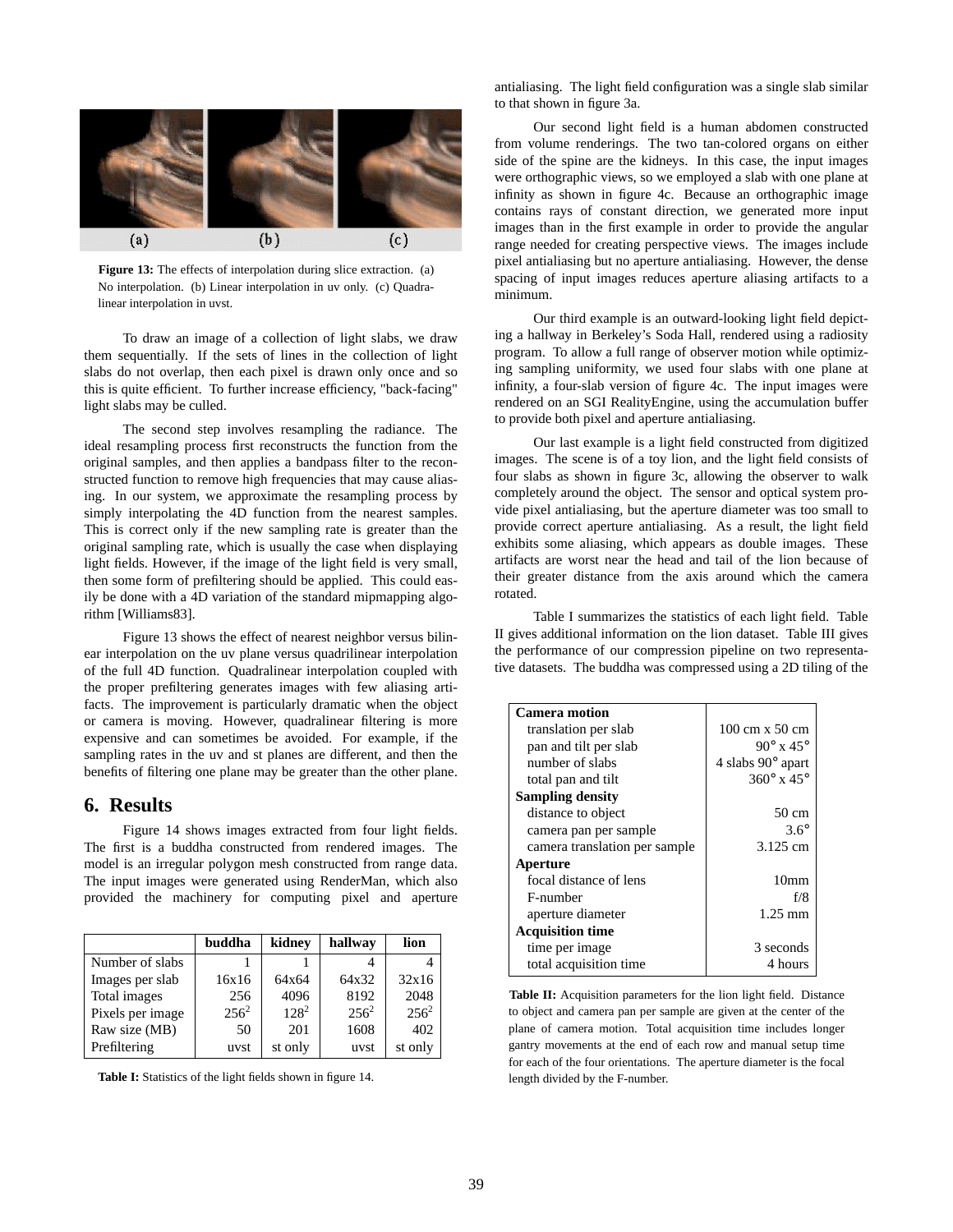

**Figure 13:** The effects of interpolation during slice extraction. (a) No interpolation. (b) Linear interpolation in uv only. (c) Quadralinear interpolation in uvst.

To draw an image of a collection of light slabs, we draw them sequentially. If the sets of lines in the collection of light slabs do not overlap, then each pixel is drawn only once and so this is quite efficient. To further increase efficiency, "back-facing" light slabs may be culled.

The second step involves resampling the radiance. The ideal resampling process first reconstructs the function from the original samples, and then applies a bandpass filter to the reconstructed function to remove high frequencies that may cause aliasing. In our system, we approximate the resampling process by simply interpolating the 4D function from the nearest samples. This is correct only if the new sampling rate is greater than the original sampling rate, which is usually the case when displaying light fields. However, if the image of the light field is very small, then some form of prefiltering should be applied. This could easily be done with a 4D variation of the standard mipmapping algorithm [Williams83].

Figure 13 shows the effect of nearest neighbor versus bilinear interpolation on the uv plane versus quadrilinear interpolation of the full 4D function. Quadralinear interpolation coupled with the proper prefiltering generates images with few aliasing artifacts. The improvement is particularly dramatic when the object or camera is moving. However, quadralinear filtering is more expensive and can sometimes be avoided. For example, if the sampling rates in the uv and st planes are different, and then the benefits of filtering one plane may be greater than the other plane.

#### **6. Results**

Figure 14 shows images extracted from four light fields. The first is a buddha constructed from rendered images. The model is an irregular polygon mesh constructed from range data. The input images were generated using RenderMan, which also provided the machinery for computing pixel and aperture

|                  | buddha  | kidnev  | hallway | lion    |
|------------------|---------|---------|---------|---------|
| Number of slabs  |         |         |         |         |
| Images per slab  | 16x16   | 64x64   | 64x32   | 32x16   |
| Total images     | 256     | 4096    | 8192    | 2048    |
| Pixels per image | $256^2$ | $128^2$ | $256^2$ | $256^2$ |
| Raw size (MB)    | 50      | 201     | 1608    | 402     |
| Prefiltering     | uvst    | st only | uvst    | st only |

**Table I:** Statistics of the light fields shown in figure 14.

antialiasing. The light field configuration was a single slab similar to that shown in figure 3a.

Our second light field is a human abdomen constructed from volume renderings. The two tan-colored organs on either side of the spine are the kidneys. In this case, the input images were orthographic views, so we employed a slab with one plane at infinity as shown in figure 4c. Because an orthographic image contains rays of constant direction, we generated more input images than in the first example in order to provide the angular range needed for creating perspective views. The images include pixel antialiasing but no aperture antialiasing. However, the dense spacing of input images reduces aperture aliasing artifacts to a minimum.

Our third example is an outward-looking light field depicting a hallway in Berkeley's Soda Hall, rendered using a radiosity program. To allow a full range of observer motion while optimizing sampling uniformity, we used four slabs with one plane at infinity, a four-slab version of figure 4c. The input images were rendered on an SGI RealityEngine, using the accumulation buffer to provide both pixel and aperture antialiasing.

Our last example is a light field constructed from digitized images. The scene is of a toy lion, and the light field consists of four slabs as shown in figure 3c, allowing the observer to walk completely around the object. The sensor and optical system provide pixel antialiasing, but the aperture diameter was too small to provide correct aperture antialiasing. As a result, the light field exhibits some aliasing, which appears as double images. These artifacts are worst near the head and tail of the lion because of their greater distance from the axis around which the camera rotated.

Table I summarizes the statistics of each light field. Table II gives additional information on the lion dataset. Table III gives the performance of our compression pipeline on two representative datasets. The buddha was compressed using a 2D tiling of the

| <b>Camera motion</b>          |                                 |
|-------------------------------|---------------------------------|
| translation per slab          | 100 cm $\times$ 50 cm           |
| pan and tilt per slab         | $90^\circ \times 45^\circ$      |
| number of slabs               | 4 slabs $90^\circ$ apart        |
| total pan and tilt            | $360^{\circ}$ x 45 <sup>o</sup> |
| <b>Sampling density</b>       |                                 |
| distance to object            | 50 cm                           |
| camera pan per sample         | $3.6^\circ$                     |
| camera translation per sample | 3.125 cm                        |
| Aperture                      |                                 |
| focal distance of lens        | 10 <sub>mm</sub>                |
| F-number                      | f/8                             |
| aperture diameter             | $1.25 \text{ mm}$               |
| <b>Acquisition time</b>       |                                 |
| time per image                | 3 seconds                       |
| total acquisition time        | 4 hours                         |

**Table II:** Acquisition parameters for the lion light field. Distance to object and camera pan per sample are given at the center of the plane of camera motion. Total acquisition time includes longer gantry movements at the end of each row and manual setup time for each of the four orientations. The aperture diameter is the focal length divided by the F-number.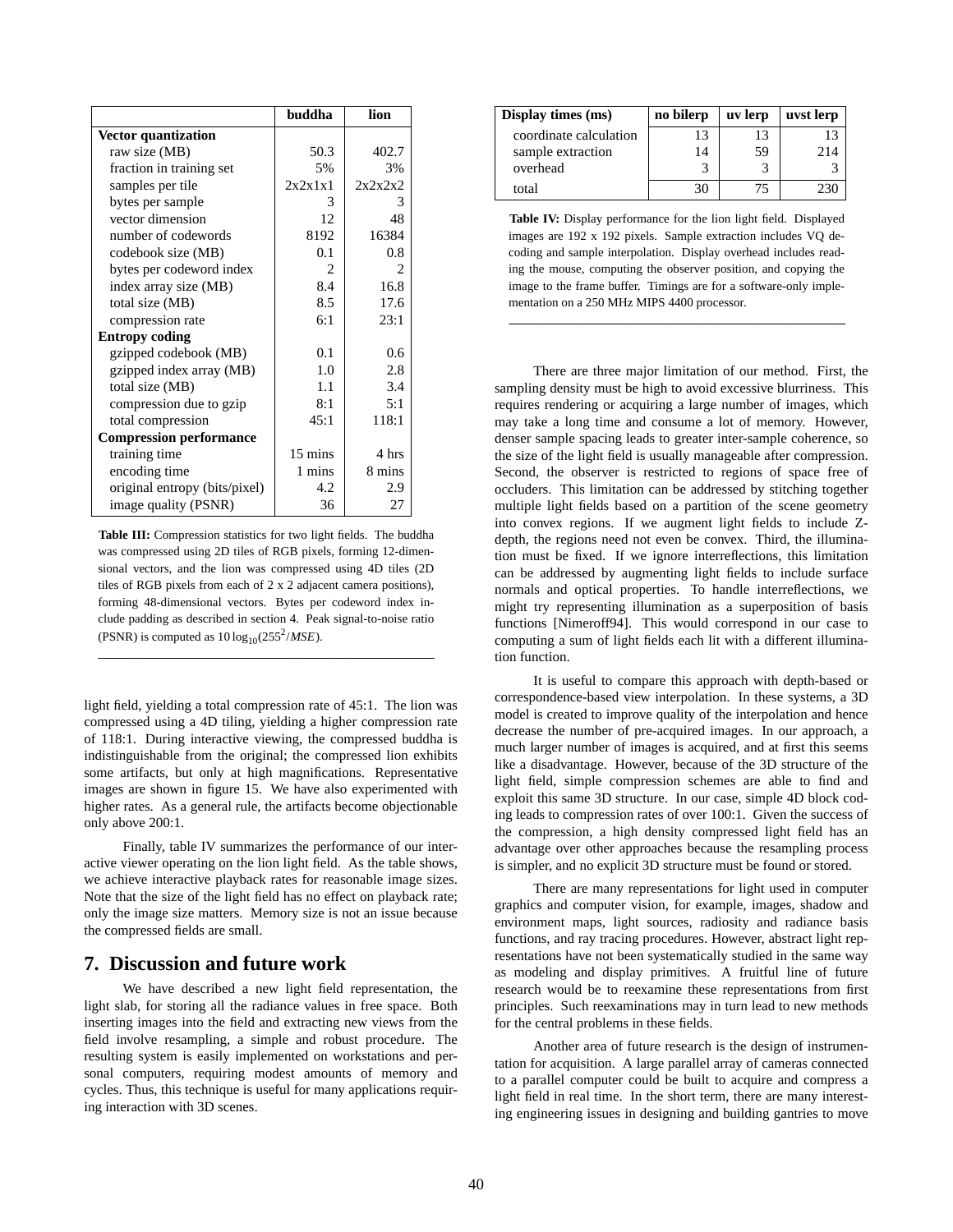|                                | buddha                      | lion           |
|--------------------------------|-----------------------------|----------------|
| Vector quantization            |                             |                |
| raw size (MB)                  | 50.3                        | 402.7          |
| fraction in training set       | 5%                          | 3%             |
| samples per tile               | 2x2x1x1                     | 2x2x2x2        |
| bytes per sample               | 3                           | 3              |
| vector dimension               | 12                          | 48             |
| number of codewords            | 8192                        | 16384          |
| codebook size (MB)             | 0.1                         | 0.8            |
| bytes per codeword index       | $\mathcal{D}_{\mathcal{L}}$ | $\mathfrak{D}$ |
| index array size (MB)          | 8.4                         | 16.8           |
| total size (MB)                | 8.5                         | 17.6           |
| compression rate               | 6:1                         | 23:1           |
| <b>Entropy coding</b>          |                             |                |
| gzipped codebook (MB)          | 0.1                         | 0.6            |
| gzipped index array (MB)       | 1.0                         | 2.8            |
| total size (MB)                | 1.1                         | 3.4            |
| compression due to gzip        | 8:1                         | 5:1            |
| total compression              | 45:1                        | 118:1          |
| <b>Compression performance</b> |                             |                |
| training time                  | $15 \text{ mins}$           | 4 hrs          |
| encoding time                  | 1 mins                      | 8 mins         |
| original entropy (bits/pixel)  | 4.2                         | 2.9            |
| image quality (PSNR)           | 36                          | 27             |

**Table III:** Compression statistics for two light fields. The buddha was compressed using 2D tiles of RGB pixels, forming 12-dimensional vectors, and the lion was compressed using 4D tiles (2D tiles of RGB pixels from each of 2 x 2 adjacent camera positions), forming 48-dimensional vectors. Bytes per codeword index include padding as described in section 4. Peak signal-to-noise ratio (PSNR) is computed as  $10 \log_{10}(255^2/MSE)$ .

light field, yielding a total compression rate of 45:1. The lion was compressed using a 4D tiling, yielding a higher compression rate of 118:1. During interactive viewing, the compressed buddha is indistinguishable from the original; the compressed lion exhibits some artifacts, but only at high magnifications. Representative images are shown in figure 15. We have also experimented with higher rates. As a general rule, the artifacts become objectionable only above 200:1.

Finally, table IV summarizes the performance of our interactive viewer operating on the lion light field. As the table shows, we achieve interactive playback rates for reasonable image sizes. Note that the size of the light field has no effect on playback rate; only the image size matters. Memory size is not an issue because the compressed fields are small.

# **7. Discussion and future work**

We have described a new light field representation, the light slab, for storing all the radiance values in free space. Both inserting images into the field and extracting new views from the field involve resampling, a simple and robust procedure. The resulting system is easily implemented on workstations and personal computers, requiring modest amounts of memory and cycles. Thus, this technique is useful for many applications requiring interaction with 3D scenes.

| Display times (ms)     | no bilerp | uv lerp | uvst lerp |
|------------------------|-----------|---------|-----------|
| coordinate calculation | 13        | 13      |           |
| sample extraction      | 14        | 59      | 214       |
| overhead               |           |         |           |
| total                  |           | 75      |           |

**Table IV:** Display performance for the lion light field. Displayed images are 192 x 192 pixels. Sample extraction includes VQ decoding and sample interpolation. Display overhead includes reading the mouse, computing the observer position, and copying the image to the frame buffer. Timings are for a software-only implementation on a 250 MHz MIPS 4400 processor.

There are three major limitation of our method. First, the sampling density must be high to avoid excessive blurriness. This requires rendering or acquiring a large number of images, which may take a long time and consume a lot of memory. However, denser sample spacing leads to greater inter-sample coherence, so the size of the light field is usually manageable after compression. Second, the observer is restricted to regions of space free of occluders. This limitation can be addressed by stitching together multiple light fields based on a partition of the scene geometry into convex regions. If we augment light fields to include Zdepth, the regions need not even be convex. Third, the illumination must be fixed. If we ignore interreflections, this limitation can be addressed by augmenting light fields to include surface normals and optical properties. To handle interreflections, we might try representing illumination as a superposition of basis functions [Nimeroff94]. This would correspond in our case to computing a sum of light fields each lit with a different illumination function.

It is useful to compare this approach with depth-based or correspondence-based view interpolation. In these systems, a 3D model is created to improve quality of the interpolation and hence decrease the number of pre-acquired images. In our approach, a much larger number of images is acquired, and at first this seems like a disadvantage. However, because of the 3D structure of the light field, simple compression schemes are able to find and exploit this same 3D structure. In our case, simple 4D block coding leads to compression rates of over 100:1. Given the success of the compression, a high density compressed light field has an advantage over other approaches because the resampling process is simpler, and no explicit 3D structure must be found or stored.

There are many representations for light used in computer graphics and computer vision, for example, images, shadow and environment maps, light sources, radiosity and radiance basis functions, and ray tracing procedures. However, abstract light representations have not been systematically studied in the same way as modeling and display primitives. A fruitful line of future research would be to reexamine these representations from first principles. Such reexaminations may in turn lead to new methods for the central problems in these fields.

Another area of future research is the design of instrumentation for acquisition. A large parallel array of cameras connected to a parallel computer could be built to acquire and compress a light field in real time. In the short term, there are many interesting engineering issues in designing and building gantries to move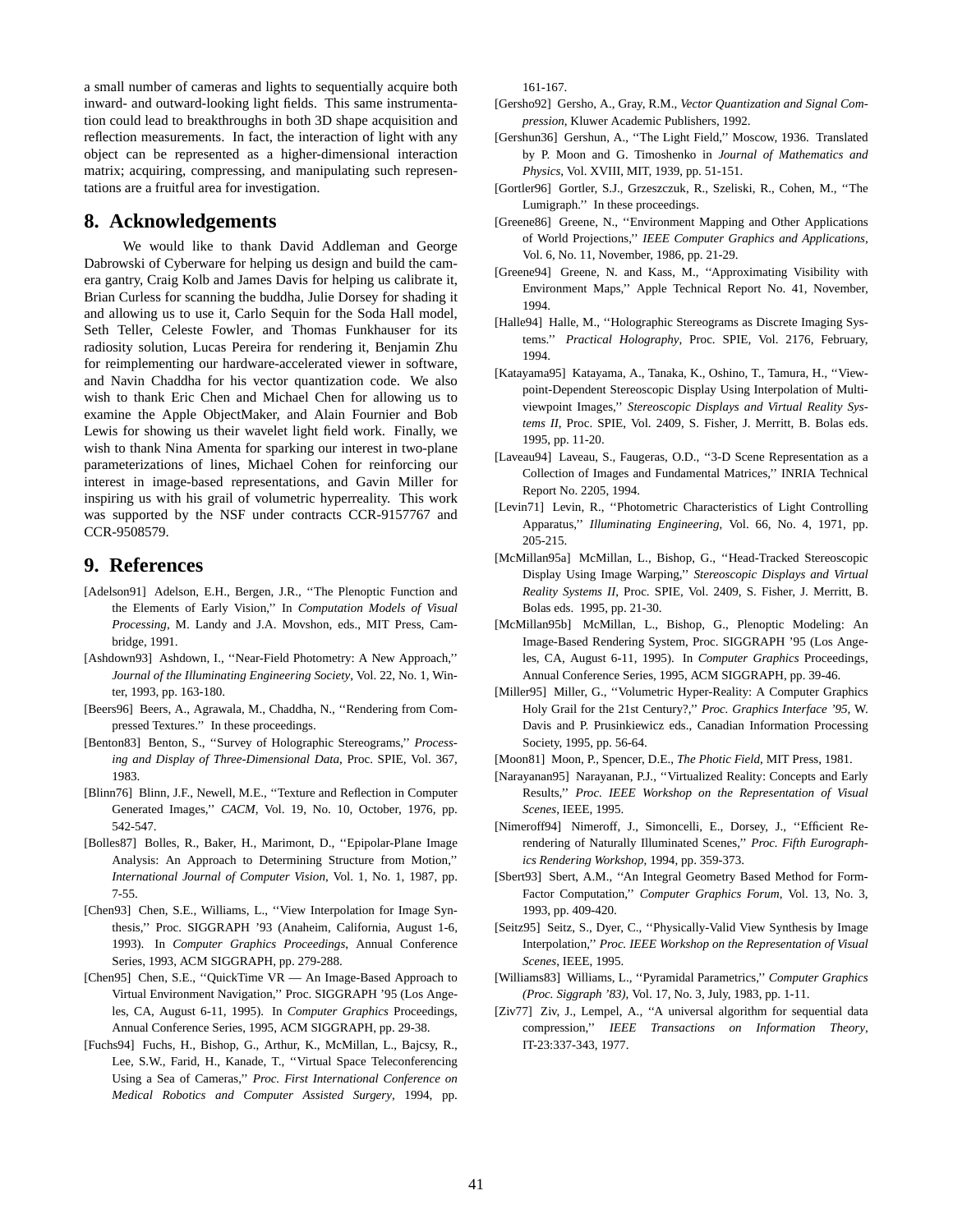a small number of cameras and lights to sequentially acquire both inward- and outward-looking light fields. This same instrumentation could lead to breakthroughs in both 3D shape acquisition and reflection measurements. In fact, the interaction of light with any object can be represented as a higher-dimensional interaction matrix; acquiring, compressing, and manipulating such representations are a fruitful area for investigation.

# **8. Acknowledgements**

We would like to thank David Addleman and George Dabrowski of Cyberware for helping us design and build the camera gantry, Craig Kolb and James Davis for helping us calibrate it, Brian Curless for scanning the buddha, Julie Dorsey for shading it and allowing us to use it, Carlo Sequin for the Soda Hall model, Seth Teller, Celeste Fowler, and Thomas Funkhauser for its radiosity solution, Lucas Pereira for rendering it, Benjamin Zhu for reimplementing our hardware-accelerated viewer in software, and Navin Chaddha for his vector quantization code. We also wish to thank Eric Chen and Michael Chen for allowing us to examine the Apple ObjectMaker, and Alain Fournier and Bob Lewis for showing us their wavelet light field work. Finally, we wish to thank Nina Amenta for sparking our interest in two-plane parameterizations of lines, Michael Cohen for reinforcing our interest in image-based representations, and Gavin Miller for inspiring us with his grail of volumetric hyperreality. This work was supported by the NSF under contracts CCR-9157767 and CCR-9508579.

# **9. References**

- [Adelson91] Adelson, E.H., Bergen, J.R., "The Plenoptic Function and the Elements of Early Vision,'' In *Computation Models of Visual Processing*, M. Landy and J.A. Movshon, eds., MIT Press, Cambridge, 1991.
- [Ashdown93] Ashdown, I., "Near-Field Photometry: A New Approach," *Journal of the Illuminating Engineering Society*, Vol. 22, No. 1, Winter, 1993, pp. 163-180.
- [Beers96] Beers, A., Agrawala, M., Chaddha, N., ''Rendering from Compressed Textures.'' In these proceedings.
- [Benton83] Benton, S., ''Survey of Holographic Stereograms,'' *Processing and Display of Three-Dimensional Data*, Proc. SPIE, Vol. 367, 1983.
- [Blinn76] Blinn, J.F., Newell, M.E., ''Texture and Reflection in Computer Generated Images,'' *CACM*, Vol. 19, No. 10, October, 1976, pp. 542-547.
- [Bolles87] Bolles, R., Baker, H., Marimont, D., ''Epipolar-Plane Image Analysis: An Approach to Determining Structure from Motion,'' *International Journal of Computer Vision*, Vol. 1, No. 1, 1987, pp. 7-55.
- [Chen93] Chen, S.E., Williams, L., "View Interpolation for Image Synthesis,'' Proc. SIGGRAPH '93 (Anaheim, California, August 1-6, 1993). In *Computer Graphics Proceedings*, Annual Conference Series, 1993, ACM SIGGRAPH, pp. 279-288.
- [Chen95] Chen, S.E., "QuickTime VR An Image-Based Approach to Virtual Environment Navigation,'' Proc. SIGGRAPH '95 (Los Angeles, CA, August 6-11, 1995). In *Computer Graphics* Proceedings, Annual Conference Series, 1995, ACM SIGGRAPH, pp. 29-38.
- [Fuchs94] Fuchs, H., Bishop, G., Arthur, K., McMillan, L., Bajcsy, R., Lee, S.W., Farid, H., Kanade, T., ''Virtual Space Teleconferencing Using a Sea of Cameras,'' *Proc. First International Conference on Medical Robotics and Computer Assisted Surgery*, 1994, pp.

161-167.

- [Gersho92] Gersho, A., Gray, R.M., *Vector Quantization and Signal Compression*, Kluwer Academic Publishers, 1992.
- [Gershun36] Gershun, A., ''The Light Field,'' Moscow, 1936. Translated by P. Moon and G. Timoshenko in *Journal of Mathematics and Physics*, Vol. XVIII, MIT, 1939, pp. 51-151.
- [Gortler96] Gortler, S.J., Grzeszczuk, R., Szeliski, R., Cohen, M., ''The Lumigraph.'' In these proceedings.
- [Greene86] Greene, N., ''Environment Mapping and Other Applications of World Projections,'' *IEEE Computer Graphics and Applications*, Vol. 6, No. 11, November, 1986, pp. 21-29.
- [Greene94] Greene, N. and Kass, M., ''Approximating Visibility with Environment Maps,'' Apple Technical Report No. 41, November, 1994.
- [Halle94] Halle, M., "Holographic Stereograms as Discrete Imaging Systems.'' *Practical Holography*, Proc. SPIE, Vol. 2176, February, 1994.
- [Katayama95] Katayama, A., Tanaka, K., Oshino, T., Tamura, H., ''Viewpoint-Dependent Stereoscopic Display Using Interpolation of Multiviewpoint Images,'' *Stereoscopic Displays and Virtual Reality Systems II*, Proc. SPIE, Vol. 2409, S. Fisher, J. Merritt, B. Bolas eds. 1995, pp. 11-20.
- [Laveau94] Laveau, S., Faugeras, O.D., ''3-D Scene Representation as a Collection of Images and Fundamental Matrices,'' INRIA Technical Report No. 2205, 1994.
- [Levin71] Levin, R., ''Photometric Characteristics of Light Controlling Apparatus,'' *Illuminating Engineering*, Vol. 66, No. 4, 1971, pp. 205-215.
- [McMillan95a] McMillan, L., Bishop, G., ''Head-Tracked Stereoscopic Display Using Image Warping,'' *Stereoscopic Displays and Virtual Reality Systems II*, Proc. SPIE, Vol. 2409, S. Fisher, J. Merritt, B. Bolas eds. 1995, pp. 21-30.
- [McMillan95b] McMillan, L., Bishop, G., Plenoptic Modeling: An Image-Based Rendering System, Proc. SIGGRAPH '95 (Los Angeles, CA, August 6-11, 1995). In *Computer Graphics* Proceedings, Annual Conference Series, 1995, ACM SIGGRAPH, pp. 39-46.
- [Miller95] Miller, G., ''Volumetric Hyper-Reality: A Computer Graphics Holy Grail for the 21st Century?,'' *Proc. Graphics Interface '95*, W. Davis and P. Prusinkiewicz eds., Canadian Information Processing Society, 1995, pp. 56-64.
- [Moon81] Moon, P., Spencer, D.E., *The Photic Field*, MIT Press, 1981.
- [Narayanan95] Narayanan, P.J., ''Virtualized Reality: Concepts and Early Results,'' *Proc. IEEE Workshop on the Representation of Visual Scenes*, IEEE, 1995.
- [Nimeroff94] Nimeroff, J., Simoncelli, E., Dorsey, J., ''Efficient Rerendering of Naturally Illuminated Scenes,'' *Proc. Fifth Eurographics Rendering Workshop*, 1994, pp. 359-373.
- [Sbert93] Sbert, A.M., ''An Integral Geometry Based Method for Form-Factor Computation,'' *Computer Graphics Forum*, Vol. 13, No. 3, 1993, pp. 409-420.
- [Seitz95] Seitz, S., Dyer, C., "Physically-Valid View Synthesis by Image Interpolation,'' *Proc. IEEE Workshop on the Representation of Visual Scenes*, IEEE, 1995.
- [Williams83] Williams, L., ''Pyramidal Parametrics,'' *Computer Graphics (Proc. Siggraph '83)*, Vol. 17, No. 3, July, 1983, pp. 1-11.
- [Ziv77] Ziv, J., Lempel, A., "A universal algorithm for sequential data compression,'' *IEEE Transactions on Information Theory*, IT-23:337-343, 1977.